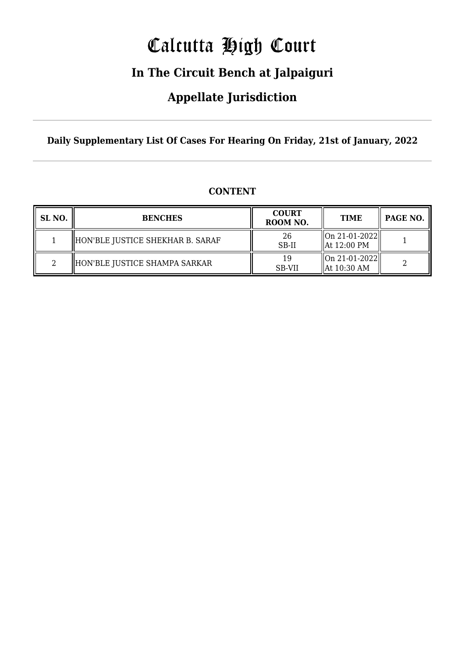# Calcutta High Court

### **In The Circuit Bench at Jalpaiguri**

### **Appellate Jurisdiction**

**Daily Supplementary List Of Cases For Hearing On Friday, 21st of January, 2022**

| SL NO. | <b>BENCHES</b>                   | <b>COURT</b><br>ROOM NO. | <b>TIME</b>                                                             | PAGE NO. |
|--------|----------------------------------|--------------------------|-------------------------------------------------------------------------|----------|
|        | HON'BLE JUSTICE SHEKHAR B. SARAF | 26<br>SB-II              | On 21-01-2022  <br>  At 12:00 PM                                        |          |
|        | HON'BLE JUSTICE SHAMPA SARKAR    | 19<br><b>SB-VII</b>      | $\left\  \text{On } 21 - 01 - 2022 \right\ $<br>$\parallel$ At 10:30 AM |          |

### **CONTENT**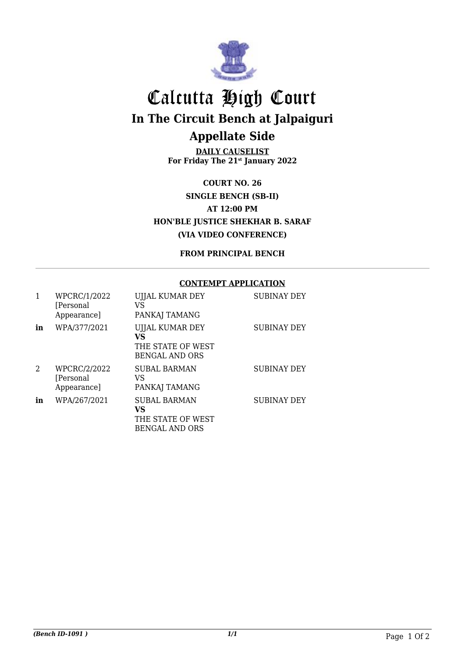

## Calcutta High Court **In The Circuit Bench at Jalpaiguri Appellate Side**

**DAILY CAUSELIST For Friday The 21st January 2022**

**COURT NO. 26 SINGLE BENCH (SB-II) AT 12:00 PM HON'BLE JUSTICE SHEKHAR B. SARAF (VIA VIDEO CONFERENCE)**

**FROM PRINCIPAL BENCH**

#### **CONTEMPT APPLICATION**

|    | WPCRC/1/2022<br>[Personal]<br>Appearance] | UJJAL KUMAR DEY<br>VS<br>PANKAJ TAMANG                                  | <b>SUBINAY DEY</b> |
|----|-------------------------------------------|-------------------------------------------------------------------------|--------------------|
| in | WPA/377/2021                              | UJJAL KUMAR DEY<br>VS<br>THE STATE OF WEST<br><b>BENGAL AND ORS</b>     | <b>SUBINAY DEY</b> |
| 2  | WPCRC/2/2022<br>[Personal<br>Appearance]  | <b>SUBAL BARMAN</b><br>VS<br>PANKAJ TAMANG                              | <b>SUBINAY DEY</b> |
| in | WPA/267/2021                              | <b>SUBAL BARMAN</b><br>VS<br>THE STATE OF WEST<br><b>BENGAL AND ORS</b> | <b>SUBINAY DEY</b> |